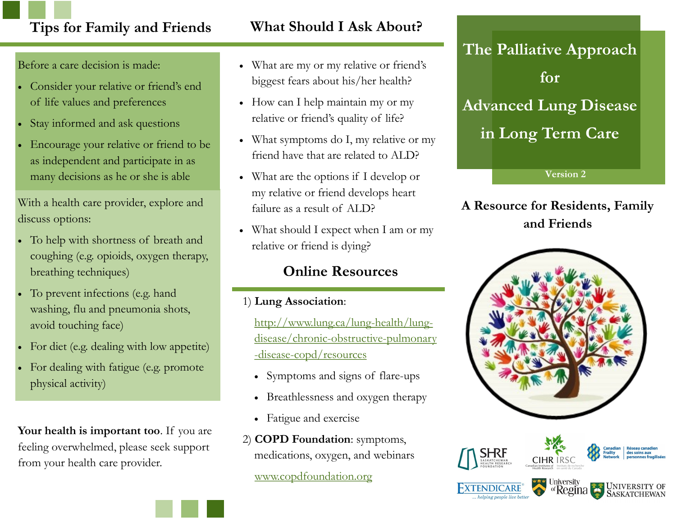## **Tips for Family and Friends What Should I Ask About?**

Before a care decision is made:

- Consider your relative or friend's end of life values and preferences
- Stay informed and ask questions
- Encourage your relative or friend to be as independent and participate in as many decisions as he or she is able

With a health care provider, explore and discuss options:

- To help with shortness of breath and coughing (e.g. opioids, oxygen therapy, breathing techniques)
- To prevent infections (e.g. hand washing, flu and pneumonia shots, avoid touching face)
- For diet (e.g. dealing with low appetite)
- For dealing with fatigue (e.g. promote physical activity)

**Your health is important too**. If you are feeling overwhelmed, please seek support from your health care provider.

- What are my or my relative or friend's biggest fears about his/her health?
- How can I help maintain my or my relative or friend's quality of life?
- What symptoms do I, my relative or my friend have that are related to ALD?
- What are the options if I develop or my relative or friend develops heart failure as a result of ALD?
- What should I expect when I am or my relative or friend is dying?

### **Online Resources**

1) **Lung Association**:

[http://www.lung.ca/lung-health/lung](http://www.lung.ca/lung-health/lung-disease/chronic-obstructive-pulmonary-disease-copd/resources)[disease/chronic-obstructive-pulmonary](http://www.lung.ca/lung-health/lung-disease/chronic-obstructive-pulmonary-disease-copd/resources) [-disease-copd/resources](http://www.lung.ca/lung-health/lung-disease/chronic-obstructive-pulmonary-disease-copd/resources)

- Symptoms and signs of flare-ups
- Breathlessness and oxygen therapy
- Fatigue and exercise
- 2) **COPD Foundation**: symptoms, medications, oxygen, and webinars

[www.copdfoundation.org](http://www.copdfoundation.org)

**The Palliative Approach for Advanced Lung Disease in Long Term Care**

**Version 2**

### **A Resource for Residents, Family and Friends**